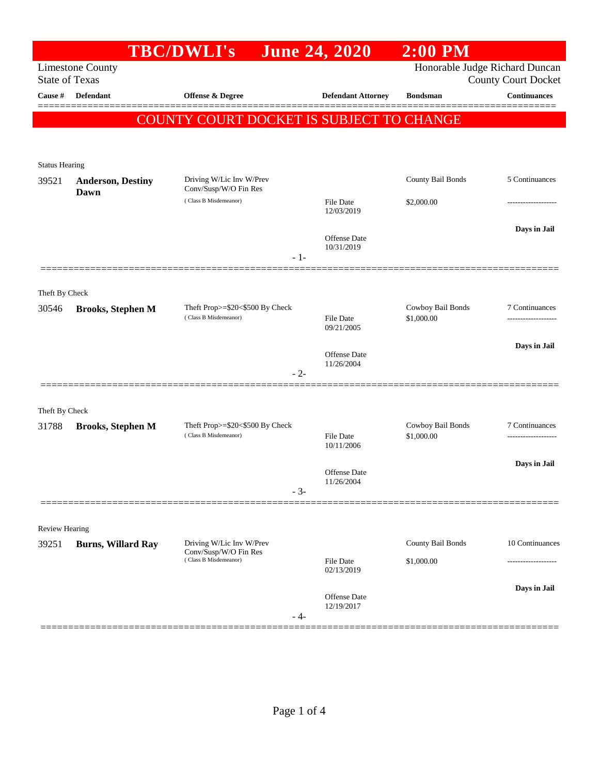|                                |                           | <b>TBC/DWLI's</b>                                        | <b>June 24, 2020</b>           | $2:00$ PM                       |                            |
|--------------------------------|---------------------------|----------------------------------------------------------|--------------------------------|---------------------------------|----------------------------|
| <b>State of Texas</b>          | <b>Limestone County</b>   |                                                          |                                | Honorable Judge Richard Duncan  | <b>County Court Docket</b> |
| Cause #                        | <b>Defendant</b>          | Offense & Degree                                         | <b>Defendant Attorney</b>      | <b>Bondsman</b>                 | <b>Continuances</b>        |
|                                |                           | COUNTY COURT DOCKET IS SUBJECT TO CHANGE                 |                                |                                 |                            |
|                                |                           |                                                          |                                |                                 |                            |
|                                |                           |                                                          |                                |                                 |                            |
| <b>Status Hearing</b><br>39521 | <b>Anderson, Destiny</b>  | Driving W/Lic Inv W/Prev                                 |                                | County Bail Bonds               | 5 Continuances             |
|                                | Dawn                      | Conv/Susp/W/O Fin Res<br>(Class B Misdemeanor)           | <b>File Date</b>               | \$2,000.00                      |                            |
|                                |                           |                                                          | 12/03/2019                     |                                 |                            |
|                                |                           |                                                          | Offense Date                   |                                 | Days in Jail               |
|                                |                           | $-1-$                                                    | 10/31/2019                     |                                 |                            |
|                                |                           |                                                          |                                |                                 |                            |
| Theft By Check                 |                           |                                                          |                                |                                 |                            |
| 30546                          | <b>Brooks, Stephen M</b>  | Theft Prop>=\$20<\$500 By Check<br>(Class B Misdemeanor) | <b>File Date</b>               | Cowboy Bail Bonds<br>\$1,000.00 | 7 Continuances             |
|                                |                           |                                                          | 09/21/2005                     |                                 |                            |
|                                |                           |                                                          | Offense Date                   |                                 | Days in Jail               |
|                                |                           | $-2-$                                                    | 11/26/2004                     |                                 |                            |
|                                |                           |                                                          |                                |                                 |                            |
| Theft By Check                 |                           |                                                          |                                |                                 |                            |
| 31788                          | <b>Brooks, Stephen M</b>  | Theft Prop>=\$20<\$500 By Check<br>(Class B Misdemeanor) | <b>File Date</b><br>10/11/2006 | Cowboy Bail Bonds<br>\$1,000.00 | 7 Continuances             |
|                                |                           |                                                          |                                |                                 |                            |
|                                |                           |                                                          | <b>Offense Date</b>            |                                 | Days in Jail               |
|                                |                           | $-3-$                                                    | 11/26/2004                     |                                 |                            |
|                                |                           |                                                          |                                |                                 |                            |
| Review Hearing                 |                           |                                                          |                                |                                 |                            |
| 39251                          | <b>Burns, Willard Ray</b> | Driving W/Lic Inv W/Prev<br>Conv/Susp/W/O Fin Res        |                                | County Bail Bonds               | 10 Continuances            |
|                                |                           | (Class B Misdemeanor)                                    | File Date<br>02/13/2019        | \$1,000.00                      |                            |
|                                |                           |                                                          |                                |                                 | Days in Jail               |
|                                |                           |                                                          | Offense Date<br>12/19/2017     |                                 |                            |
|                                |                           | $-4-$                                                    |                                |                                 |                            |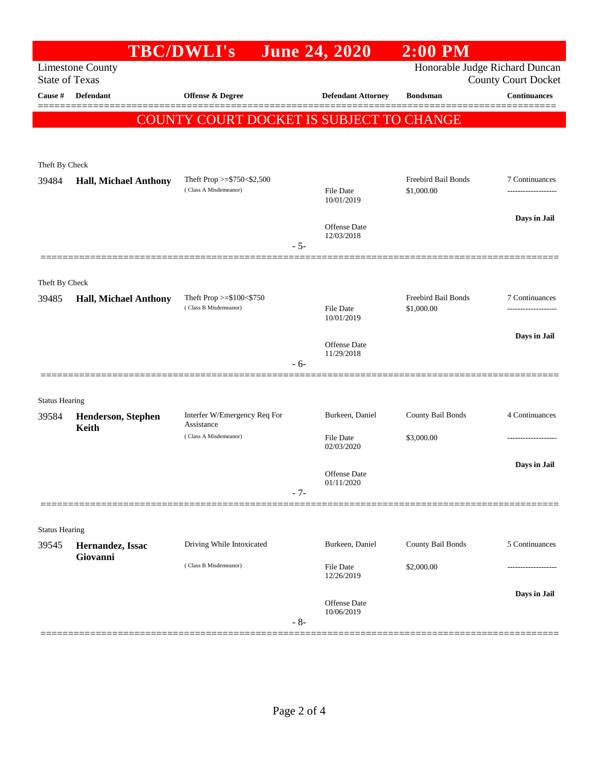|                         |                              | <b>TBC/DWLI's</b>                          |       | <b>June 24, 2020</b>              | $2:00$ PM                      |                                |
|-------------------------|------------------------------|--------------------------------------------|-------|-----------------------------------|--------------------------------|--------------------------------|
|                         | <b>Limestone County</b>      |                                            |       |                                   | Honorable Judge Richard Duncan |                                |
| <b>State of Texas</b>   |                              |                                            |       |                                   |                                | <b>County Court Docket</b>     |
| Cause #                 | Defendant                    | Offense & Degree                           |       | <b>Defendant Attorney</b>         | <b>Bondsman</b>                | <b>Continuances</b><br>======= |
|                         |                              | COUNTY COURT DOCKET IS SUBJECT TO CHANGE   |       |                                   |                                |                                |
|                         |                              |                                            |       |                                   |                                |                                |
|                         |                              |                                            |       |                                   |                                |                                |
| Theft By Check<br>39484 | <b>Hall, Michael Anthony</b> | Theft Prop $>=$ \$750 < \$2,500            |       |                                   | Freebird Bail Bonds            | 7 Continuances                 |
|                         |                              | (Class A Misdemeanor)                      |       | File Date                         | \$1,000.00                     |                                |
|                         |                              |                                            |       | 10/01/2019                        |                                |                                |
|                         |                              |                                            |       | <b>Offense</b> Date               |                                | Days in Jail                   |
|                         |                              |                                            | $-5-$ | 12/03/2018                        |                                |                                |
|                         |                              |                                            |       |                                   |                                |                                |
| Theft By Check          |                              |                                            |       |                                   |                                |                                |
| 39485                   | <b>Hall, Michael Anthony</b> | Theft Prop $>= $100 < $750$                |       |                                   | Freebird Bail Bonds            | 7 Continuances                 |
|                         |                              | (Class B Misdemeanor)                      |       | File Date<br>10/01/2019           | \$1,000.00                     |                                |
|                         |                              |                                            |       |                                   |                                | Days in Jail                   |
|                         |                              |                                            |       | <b>Offense</b> Date<br>11/29/2018 |                                |                                |
|                         |                              |                                            | $-6-$ |                                   |                                |                                |
|                         |                              |                                            |       |                                   |                                |                                |
| <b>Status Hearing</b>   |                              |                                            |       |                                   |                                |                                |
| 39584                   | Henderson, Stephen           | Interfer W/Emergency Req For<br>Assistance |       | Burkeen, Daniel                   | County Bail Bonds              | 4 Continuances                 |
|                         | <b>Keith</b>                 | (Class A Misdemeanor)                      |       | <b>File Date</b>                  | \$3,000.00                     |                                |
|                         |                              |                                            |       | 02/03/2020                        |                                |                                |
|                         |                              |                                            |       | <b>Offense</b> Date               |                                | Days in Jail                   |
|                         |                              |                                            | $-7-$ | 01/11/2020                        |                                |                                |
|                         |                              |                                            |       |                                   |                                |                                |
| <b>Status Hearing</b>   |                              |                                            |       |                                   |                                |                                |
| 39545                   | Hernandez, Issac             | Driving While Intoxicated                  |       | Burkeen, Daniel                   | County Bail Bonds              | 5 Continuances                 |
|                         | Giovanni                     | (Class B Misdemeanor)                      |       | File Date                         | \$2,000.00                     |                                |
|                         |                              |                                            |       | 12/26/2019                        |                                |                                |
|                         |                              |                                            |       |                                   |                                | Days in Jail                   |
|                         |                              |                                            |       | Offense Date<br>10/06/2019        |                                |                                |
|                         |                              |                                            | $-8-$ |                                   |                                |                                |
|                         |                              |                                            |       |                                   |                                |                                |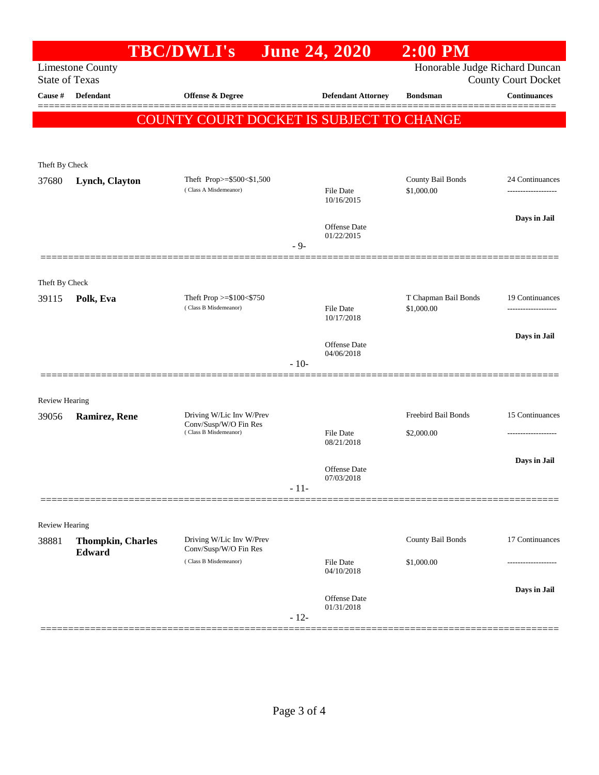|                                  |                          | <b>TBC/DWLI's</b>                                 |        | <b>June 24, 2020</b>              | $2:00$ PM                      |                                                   |
|----------------------------------|--------------------------|---------------------------------------------------|--------|-----------------------------------|--------------------------------|---------------------------------------------------|
|                                  | <b>Limestone County</b>  |                                                   |        |                                   | Honorable Judge Richard Duncan |                                                   |
| <b>State of Texas</b><br>Cause # | Defendant                | Offense & Degree                                  |        | <b>Defendant Attorney</b>         | <b>Bondsman</b>                | <b>County Court Docket</b><br><b>Continuances</b> |
|                                  |                          |                                                   |        |                                   |                                |                                                   |
|                                  |                          | COUNTY COURT DOCKET IS SUBJECT TO CHANGE          |        |                                   |                                |                                                   |
|                                  |                          |                                                   |        |                                   |                                |                                                   |
| Theft By Check                   |                          |                                                   |        |                                   |                                |                                                   |
| 37680                            | Lynch, Clayton           | Theft Prop>=\$500<\$1,500                         |        |                                   | County Bail Bonds              | 24 Continuances                                   |
|                                  |                          | (Class A Misdemeanor)                             |        | <b>File Date</b><br>10/16/2015    | \$1,000.00                     |                                                   |
|                                  |                          |                                                   |        |                                   |                                | Days in Jail                                      |
|                                  |                          |                                                   |        | Offense Date<br>01/22/2015        |                                |                                                   |
|                                  |                          |                                                   | $-9-$  |                                   |                                |                                                   |
|                                  |                          |                                                   |        |                                   |                                |                                                   |
| Theft By Check<br>39115          | Polk, Eva                | Theft Prop >=\$100<\$750                          |        |                                   | T Chapman Bail Bonds           | 19 Continuances                                   |
|                                  |                          | (Class B Misdemeanor)                             |        | File Date<br>10/17/2018           | \$1,000.00                     | -------------------                               |
|                                  |                          |                                                   |        |                                   |                                | Days in Jail                                      |
|                                  |                          |                                                   |        | <b>Offense</b> Date<br>04/06/2018 |                                |                                                   |
|                                  |                          |                                                   | $-10-$ |                                   |                                |                                                   |
|                                  |                          |                                                   |        |                                   |                                |                                                   |
| <b>Review Hearing</b>            |                          |                                                   |        |                                   |                                |                                                   |
| 39056                            | Ramirez, Rene            | Driving W/Lic Inv W/Prev<br>Conv/Susp/W/O Fin Res |        |                                   | Freebird Bail Bonds            | 15 Continuances                                   |
|                                  |                          | (Class B Misdemeanor)                             |        | <b>File Date</b><br>08/21/2018    | \$2,000.00                     |                                                   |
|                                  |                          |                                                   |        |                                   |                                | Days in Jail                                      |
|                                  |                          |                                                   |        | <b>Offense</b> Date<br>07/03/2018 |                                |                                                   |
|                                  |                          |                                                   | $-11-$ |                                   |                                |                                                   |
|                                  |                          |                                                   |        |                                   |                                |                                                   |
| <b>Review Hearing</b><br>38881   | <b>Thompkin, Charles</b> | Driving W/Lic Inv W/Prev                          |        |                                   | County Bail Bonds              | 17 Continuances                                   |
|                                  | Edward                   | Conv/Susp/W/O Fin Res                             |        |                                   |                                |                                                   |
|                                  |                          | (Class B Misdemeanor)                             |        | <b>File Date</b><br>04/10/2018    | \$1,000.00                     |                                                   |
|                                  |                          |                                                   |        |                                   |                                | Days in Jail                                      |
|                                  |                          |                                                   |        | Offense Date<br>01/31/2018        |                                |                                                   |
|                                  |                          |                                                   | $-12-$ |                                   |                                |                                                   |